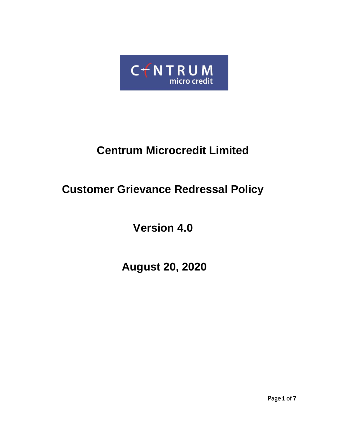

# **Centrum Microcredit Limited**

# **Customer Grievance Redressal Policy**

**Version 4.0**

**August 20, 2020**

Page **1** of **7**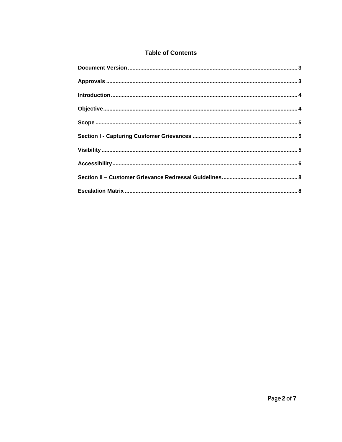# **Table of Contents**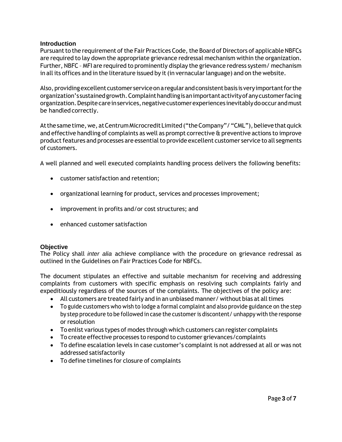# <span id="page-2-0"></span>**Introduction**

Pursuant to the requirement of the Fair Practices Code, the Board of Directors of applicable NBFCs are required to lay down the appropriate grievance redressal mechanism within the organization. Further, NBFC – MFI are required to prominently display the grievance redress system/ mechanism in all its offices and in the literature issued by it (in vernacular language) and on the website.

Also, providing excellent customer service on a regular and consistent basis is very important for the organization'ssustainedgrowth.Complainthandlingisanimportantactivityofanycustomerfacing organization. Despite care in services, negative customer experiences inevitably do occur and must be handled correctly.

At the same time, we, at Centrum Microcredit Limited ("the Company"/ "CML"), believe that quick and effective handling of complaints as well as prompt corrective & preventive actions to improve product features and processes are essential to provide excellent customer service to all segments of customers.

A well planned and well executed complaints handling process delivers the following benefits:

- customer satisfaction and retention;
- organizational learning for product, services and processes improvement;
- improvement in profits and/or cost structures; and
- enhanced customer satisfaction

# <span id="page-2-1"></span>**Objective**

The Policy shall *inter alia* achieve compliance with the procedure on grievance redressal as outlined in the Guidelines on Fair Practices Code for NBFCs.

The document stipulates an effective and suitable mechanism for receiving and addressing complaints from customers with specific emphasis on resolving such complaints fairly and expeditiously regardless of the sources of the complaints. The objectives of the policy are:

- All customers are treated fairly and in an unbiased manner/ without bias at alltimes
- To guide customers who wish to lodge a formal complaint and also provide guidance on the step by step procedure to be followed in case the customer is discontent/ unhappy with the response or resolution
- To enlist various types of modes through which customers can register complaints
- To create effective processes to respond to customer grievances/complaints
- To define escalation levels in case customer's complaint is not addressed at all or was not addressed satisfactorily
- To define timelines for closure of complaints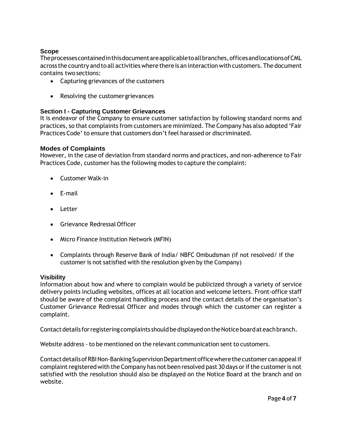# <span id="page-3-0"></span>**Scope**

Theprocessescontainedinthisdocumentareapplicabletoallbranches,officesandlocationsofCML across the country and to all activities where thereis an interaction with customers. The document contains two sections:

- Capturing grievances of the customers
- Resolving the customergrievances

# <span id="page-3-1"></span>**Section I - Capturing Customer Grievances**

It is endeavor of the Company to ensure customer satisfaction by following standard norms and practices, so that complaints from customers are minimized. The Company has also adopted 'Fair Practices Code' to ensure that customers don't feel harassed or discriminated.

# **Modes of Complaints**

However, in the case of deviation from standard norms and practices, and non-adherence to Fair Practices Code, customer has the following modes to capture the complaint:

- Customer Walk-in
- $\bullet$  F-mail
- Letter
- Grievance RedressalOfficer
- Micro Finance Institution Network (MFIN)
- Complaints through Reserve Bank of India/ NBFC Ombudsman (if not resolved/ if the customer is not satisfied with the resolution given by the Company)

#### <span id="page-3-2"></span>**Visibility**

Information about how and where to complain would be publicized through a variety of service delivery points including websites, offices at all location and welcome letters. Front‐office staff should be aware of the complaint handling process and the contact details of the organisation's Customer Grievance Redressal Officer and modes through which the customer can register a complaint.

Contact details for registering complaints should be displayed on the Notice board at each branch.

Website address ‐ to be mentioned on the relevant communication sent to customers.

ContactdetailsofRBINon-BankingSupervisionDepartmentofficewherethecustomercanappealif complaint registered with the Company has not been resolved past 30 days or if the customer is not satisfied with the resolution should also be displayed on the Notice Board at the branch and on website.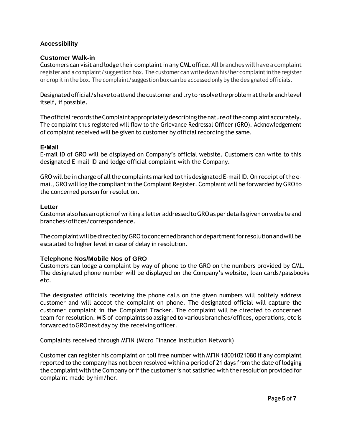# <span id="page-4-0"></span>**Accessibility**

#### **Customer Walk-in**

Customers can visit and lodge their complaint in any CML office. All branches will have a complaint register and a complaint/suggestion box. The customer can write down his/her complaintin the register or drop it in the box. The complaint/suggestion box can be accessed only by the designated officials.

Designated official/shave to attend the customer and try to resolve the problem at the branch level itself, if possible.

The official records the Complaint appropriately describing the nature of the complaint accurately. The complaint thus registered will flow to the Grievance Redressal Officer (GRO). Acknowledgement of complaint received will be given to customer by official recording the same.

#### **E•Mail**

E‐mail ID of GRO will be displayed on Company's official website. Customers can write to this designated E‐mail ID and lodge official complaint with the Company.

GRO will be in charge of all the complaints marked to this designated E-mail ID. On receipt of the email, GRO will log the compliant in the Complaint Register. Complaint will be forwarded by GRO to the concerned person for resolution.

#### **Letter**

Customer also has an option of writing a letter addressedtoGROasper details given on website and branches/offices/correspondence.

The complaint will be directed by GRO to concerned branch or department for resolution and will be escalated to higher level in case of delay in resolution.

# **Telephone Nos/Mobile Nos of GRO**

Customers can lodge a complaint by way of phone to the GRO on the numbers provided by CML. The designated phone number will be displayed on the Company's website, loan cards/passbooks etc.

The designated officials receiving the phone calls on the given numbers will politely address customer and will accept the complaint on phone. The designated official will capture the customer complaint in the Complaint Tracker. The complaint will be directed to concerned team for resolution. MIS of complaints so assigned to various branches/offices, operations, etc is forwardedtoGROnextdayby the receiving officer.

Complaints received through MFIN (Micro Finance Institution Network)

Customer can register his complaint on toll free number with MFIN 18001021080 if any complaint reported to the company has not been resolved within a period of 21 days from the date of lodging the complaint with the Company or if the customer is not satisfied with the resolution provided for complaint made byhim/her.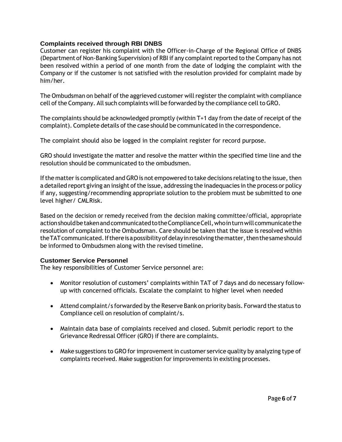# **Complaints received through RBI DNBS**

Customer can register his complaint with the Officer‐in‐Charge of the Regional Office of DNBS (Department of Non-Banking Supervision) of RBI if any complaint reported to the Company has not been resolved within a period of one month from the date of lodging the complaint with the Company or if the customer is not satisfied with the resolution provided for complaint made by him/her.

The Ombudsman on behalf of the aggrieved customer will register the complaint with compliance cell of the Company. All such complaints will be forwarded by the compliance cell to GRO.

The complaints should be acknowledged promptly (within T+1 day from the date of receipt of the complaint). Complete details of the case should be communicated in the correspondence.

The complaint should also be logged in the complaint register for record purpose.

GRO should investigate the matter and resolve the matter within the specified time line and the resolution should be communicated to the ombudsmen.

If the matter is complicated and GRO is not empowered to take decisions relating to the issue, then a detailed report giving an insight of the issue, addressing the inadequacies in the process or policy if any, suggesting/recommending appropriate solution to the problem must be submitted to one level higher/ CMLRisk.

Based on the decision or remedy received from the decision making committee/official, appropriate action should be taken and communicated to the Compliance Cell, who in turn will communicate the resolution of complaint to the Ombudsman. Care should be taken that the issue is resolved within the TAT communicated. If there is a possibility of delay in resolving the matter, then the same should be informed to Ombudsmen along with the revised timeline.

# **Customer Service Personnel**

The key responsibilities of Customer Service personnel are:

- Monitor resolution of customers' complaints within TAT of 7 days and do necessary follow‐ up with concerned officials. Escalate the complaint to higher level when needed
- Attend complaint/s forwarded by the Reserve Bank on priority basis. Forward the status to Compliance cell on resolution of complaint/s.
- Maintain data base of complaints received and closed. Submit periodic report to the Grievance Redressal Officer (GRO) if there are complaints.
- Make suggestions to GRO for improvement in customer service quality by analyzing type of complaints received. Make suggestion for improvements in existing processes.